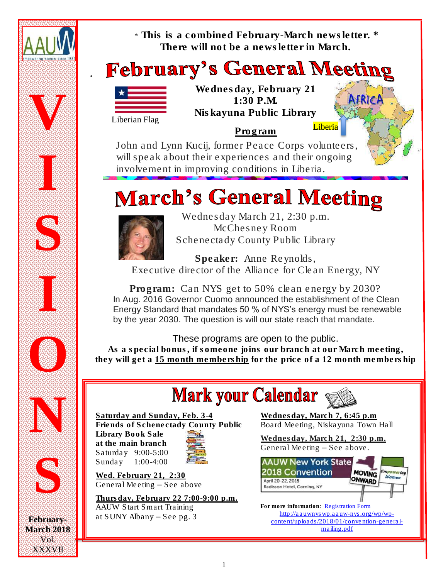

**March 2018** Vol. XXXVII no.<br>No. Anti-Anti-Anti-Anti-Anti-Anti\* *This is a combined February-March newsletter. \* There will not be a newsletter in March.*

# **February's General Meeting**



*Wednesday, February 21 1:30 P.M. Niskayuna Public Library*

Program

 John and Lynn Kucij, former Peace Corps volunteers, will speak about their experiences and their ongoing involvement in improving conditions in Liberia.

# **March's General Meeting**



Wednesday March 21, 2:30 p.m. McChesney Room Schenectady County Public Library

Speaker: Anne Reynolds, Executive director of the Alliance for Clean Energy, NY

Program: Can NYS get to 50% clean energy by 2030? In Aug. 2016 Governor Cuomo announced the establishment of the Clean Energy Standard that mandates 50 % of NYS's energy must be renewable by the year 2030. The question is will our state reach that mandate.

## *These programs are open to the public.*

*As a special bonus, if someone joins our branch at our March meeting, they will get a 15 month membership for the price of a 12 month membership*

# **Mark your Calendar**



Saturday and Sunday, Feb. 3-4 Friends of Schenectady County Public Library Book Sale at the main branch Saturday 9:00-5:00 Sunday 1:00-4:00



Wed. February 21, 2:30 General Meeting – See above

Thursday, February 22 7:00-9:00 p.m. AAUW Start Smart Training at SUNY Albany – See pg. 3

Wednesday, March 7, 6:45 p.m Board Meeting, Niskayuna Town Hall

Liberia

AFRIC

Wednesday, March 21, 2:30 p.m. General Meeting – See above.



For more information: [Registration Form](http://aauwnyswp.aauw-nys.org/wp/wp-content/uploads/2018/01/convention-general-mailing.pdf) [http://aauwnyswp.aauw-nys.org/wp/wp](http://aauwnyswp.aauw-nys.org/wp/wp-content/uploads/2018/01/convention-general-mailing.pdf)[content/uploads/2018/01/convention-general](http://aauwnyswp.aauw-nys.org/wp/wp-content/uploads/2018/01/convention-general-mailing.pdf)[mailing.pdf](http://aauwnyswp.aauw-nys.org/wp/wp-content/uploads/2018/01/convention-general-mailing.pdf)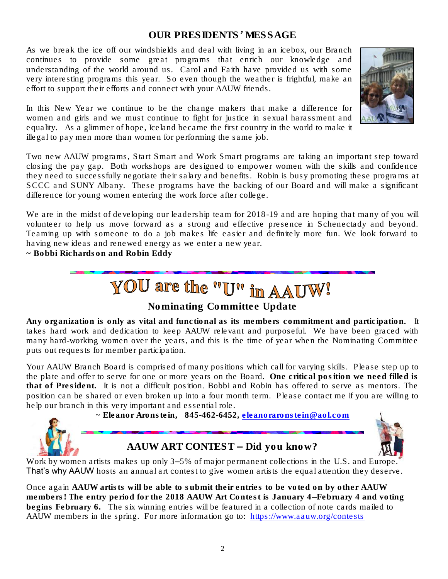## *OUR PRESIDENTS' MESSAGE*

As we break the ice off our windshields and deal with living in an icebox, our Branch continues to provide some great programs that enrich our knowledge and understanding of the world around us. Carol and Faith have provided us with some very interesting programs this year. So even though the weather is frightful, make an effort to support their efforts and connect with your AAUW friends.



In this New Year we continue to be the change makers that make a difference for women and girls and we must continue to fight for justice in sexual harassment and equality. As a glimmer of hope, Iceland became the first country in the world to make it illegal to pay men more than women for performing the same job.

Two new AAUW programs, Start Smart and Work Smart programs are taking an important step toward closing the pay gap. Both workshops are designed to empower women with the skills and confidence they need to successfully negotiate their salary and benefits. Robin is busy promoting these programs at SCCC and SUNY Albany. These programs have the backing of our Board and will make a significant difference for young women entering the work force after college.

We are in the midst of developing our leadership team for  $2018-19$  and are hoping that many of you will volunteer to help us move forward as a strong and effective presence in Schenectady and beyond. Teaming up with someone to do a job makes life easier and definitely more fun. We look forward to having new ideas and renewed energy as we enter a new year.

*~ Bobbi Richardson and Robin Eddy*



## *Nominating Committee Update*

Any organization is only as vital and functional as its members commitment and participation. It takes hard work and dedication to keep AAUW relevant and purposeful. We have been graced with many hard-working women over the years, and this is the time of year when the Nominating Committee puts out requests for member participation.

Your AAUW Branch Board is comprised of many positions which call for varying skills. Please step up to the plate and offer to serve for one or more years on the Board. One critical position we need filled is that of President. It is not a difficult position. Bobbi and Robin has offered to serve as mentors. The position can be shared or even broken up into a four month term. Please contact me if you are willing to help our branch in this very important and essential role.

 $\sim$  Eleanor Aronstein, 845-462-6452, [eleanoraronstein@aol.com](mailto:eleanoraronstein@aol.com)





Work by women artists makes up only 3–5% of major permanent collections in the U.S. and Europe. That's why AAUW hosts an annual art contest to give women artists the equal attention they deserve.

Once again AAUW artists will be able to submit their entries to be voted on by other AAUW members! The entry period for the 2018 AAUW Art Contest is January 4–February 4 and voting begins February 6. The six winning entries will be featured in a collection of note cards mailed to AAUW members in the spring. For more information go to: <https://www.aauw.org/contests>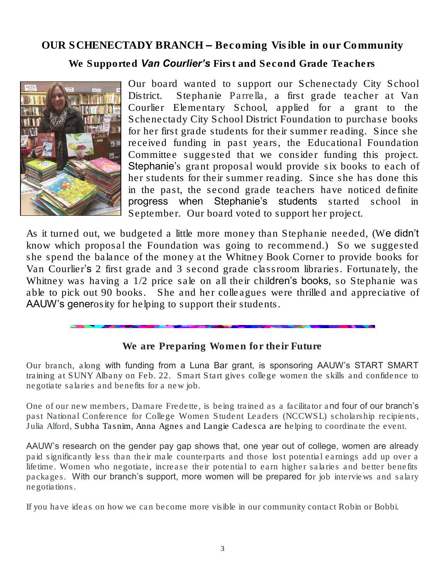## *OUR SCHENECTADY BRANCH – Becoming Visible in our Community*

*We Supported Van Courlier's First and Second Grade Teachers*



Our board wanted to support our Schenectady City School District. Stephanie Parrella, a first grade teacher at Van Courlier Elementary School, applied for a grant to the Schenectady City School District Foundation to purchase books for her first grade students for their summer reading. Since she received funding in past years, the Educational Foundation Committee suggested that we consider funding this project. Stephanie's grant proposal would provide six books to each of her students for their summer reading. Since she has done this in the past, the second grade teachers have noticed definite progress when Stephanie's students started school in September. Our board voted to support her project.

As it turned out, we budgeted a little more money than Stephanie needed, (We didn't know which proposal the Foundation was going to recommend.) So we suggested she spend the balance of the money at the Whitney Book Corner to provide books for Van Courlier's 2 first grade and 3 second grade classroom libraries. Fortunately, the Whitney was having a 1/2 price sale on all their children's books, so Stephanie was able to pick out 90 books. She and her colleagues were thrilled and appreciative of AAUW's generosity for helping to support their students.

## *We are Preparing Women for their Future*

Our branch, along with funding from a Luna Bar grant, is sponsoring AAUW's START SMART training at SUNY Albany on Feb. 22. Smart Start gives college women the skills and confidence to negotiate salaries and benefits for a new job.

One of our new members, Damare Fredette, is being trained as a facilitator and four of our branch's past National Conference for College Women Student Leaders (NCCWSL) scholarship recipients, Julia Alford, Subha Tasnim, Anna Agnes and Langie Cadesca are helping to coordinate the event.

AAUW's research on the gender pay gap shows that, one year out of college, women are already paid significantly less than their male counterparts and those lost potential earnings add up over a lifetime. Women who negotiate, increase their potential to earn higher salaries and better benefits packages. With our branch's support, more women will be prepared for job interviews and salary negotiations.

If you have ideas on how we can become more visible in our community contact Robin or Bobbi.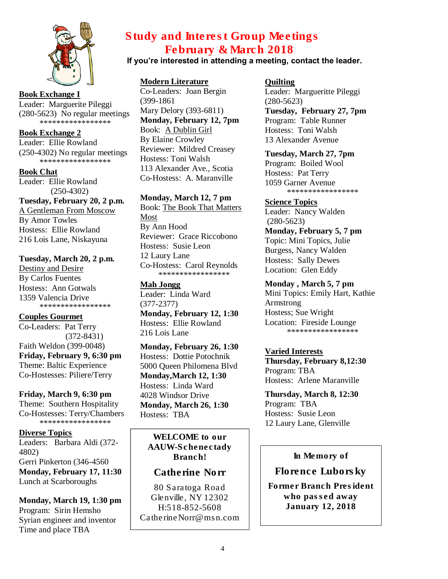

**Book Exchange I** Leader: Marguerite Pileggi (280-5623) No regular meetings \*\*\*\*\*\*\*\*\*\*\*\*\*\*\*\*\*

**Book Exchange 2** Leader: Ellie Rowland (250-4302) No regular meetings \*\*\*\*\*\*\*\*\*\*\*\*\*\*\*\*\*

**Book Chat** Leader: Ellie Rowland  $(250-4302)$ **Tuesday, February 20, 2 p.m.** A Gentleman From Moscow By Amor Towles Hostess: Ellie Rowland 216 Lois Lane, Niskayuna

#### **Tuesday, March 20, 2 p.m.**

Destiny and Desire By Carlos Fuentes Hostess: Ann Gotwals 1359 Valencia Drive \*\*\*\*\*\*\*\*\*\*\*\*\*\*\*\*\*

**Couples Gourmet** Co-Leaders: Pat Terry

 (372-8431) Faith Weldon (399-0048) **Friday, February 9, 6:30 pm** Theme: Baltic Experience Co-Hostesses: Piliere/Terry

#### **Friday, March 9, 6:30 pm**

Theme: Southern Hospitality Co-Hostesses: Terry/Chambers \*\*\*\*\*\*\*\*\*\*\*\*\*\*\*\*\*

#### **Diverse Topics**

Leaders: Barbara Aldi (372- 4802) Gerri Pinkerton (346-4560 **Monday, February 17, 11:30** Lunch at Scarboroughs

**Monday, March 19, 1:30 pm** Program: Sirin Hemsho Syrian engineer and inventor Time and place TBA

## *Study and Interest Group Meetings February & March 2018*

### If you're interested in attending a meeting, contact the leader.

#### **Modern Literature**

Co-Leaders: Joan Bergin (399-1861 Mary Delory (393-6811) **Monday, February 12, 7pm** Book: A Dublin Girl By Elaine Crowley Reviewer: Mildred Creasey Hostess: Toni Walsh 113 Alexander Ave., Scotia Co-Hostess: A. Maranville

#### **Monday, March 12, 7 pm**

Book: The Book That Matters Most By Ann Hood Reviewer: Grace Riccobono Hostess: Susie Leon 12 Laury Lane Co-Hostess: Carol Reynolds \*\*\*\*\*\*\*\*\*\*\*\*\*\*\*\*\*

**Mah Jongg** Leader: Linda Ward (377-2377) **Monday, February 12, 1:30** 

Hostess: Ellie Rowland 216 Lois Lane

**Monday, February 26, 1:30** Hostess: Dottie Potochnik 5000 Queen Philomena Blvd **Monday,March 12, 1:30**  Hostess: Linda Ward 4028 Windsor Drive **Monday, March 26, 1:30** Hostess: TBA

WELCOME to our AAUW-Schenectady Branch!

### *Catherine Norr*

80 Saratoga Road Glenville, NY 12302 H:518-852-5608 CatherineNorr@msn.com

#### **Quilting**

Leader: Margueritte Pileggi (280-5623) **Tuesday, February 27, 7pm** Program: Table Runner Hostess: Toni Walsh 13 Alexander Avenue

**Tuesday, March 27, 7pm** Program: Boiled Wool Hostess: Pat Terry

1059 Garner Avenue \*\*\*\*\*\*\*\*\*\*\*\*\*\*\*\*\*

#### **Science Topics**

Leader: Nancy Walden (280-5623) **Monday, February 5, 7 pm** Topic: Mini Topics, Julie Burgess, Nancy Walden Hostess: Sally Dewes Location: Glen Eddy

#### **Monday , March 5, 7 pm**

Mini Topics: Emily Hart, Kathie Armstrong Hostess; Sue Wright Location: Fireside Lounge \*\*\*\*\*\*\*\*\*\*\*\*\*\*\*\*\*

#### **Varied Interests**

**Thursday, February 8,12:30** Program: TBA Hostess: Arlene Maranville

**Thursday, March 8, 12:30** Program: TBA Hostess: Susie Leon 12 Laury Lane, Glenville

#### In Memory of

*Florence Luborsky*

Former Branch President who passed away January 12, 2018